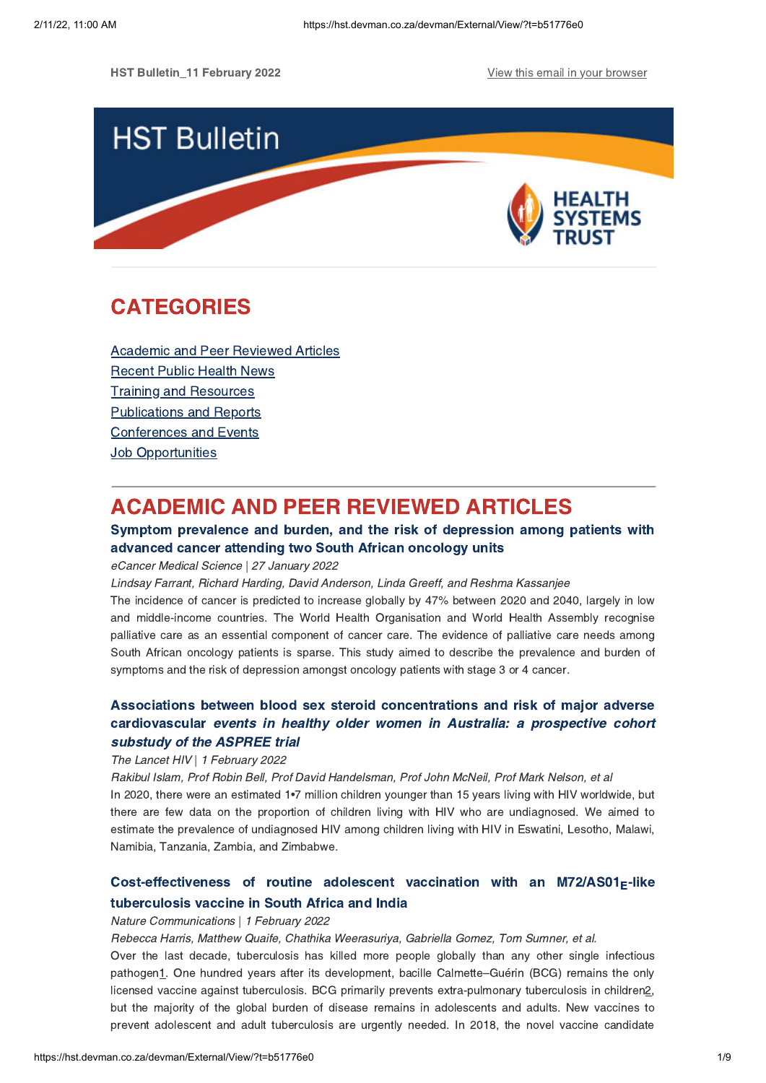HST Bulletin 11 February 2022 **View this email in your [browser](https://hst.devman.co.za/devman/external/?t=65545f1c&t1=b51776e0)** 



# **CATEGORIES** CATEGORIES<br>CATEGORIES

Academic and Peer [Reviewed](#page-0-0) Articles [Recent](#page-2-0) Public Health News Training and Resources [Publications](#page-5-0) and Reports [Conferences](#page-6-0) and Events **Job [Opportunities](#page-7-0)** 

# <span id="page-0-0"></span>**ACADEMIC AND PEER REVIEWED ARTICLES**

### Symptom prevalence and burden, and the risk of depression among patients with advanced cancer attending two South African oncology units

## eCancer Medical Science | 27 January 2022

Lindsay Farrant, Richard Harding, David Anderson, Linda Greeff, and Reshma Kassanjee

The incidence of cancer is predicted to increase globally by 47% between 2020 and 2040, largely in low and middle-income countries. The World Health Organisation and World Health Assembly recognise palliative care as an essential component of cancer care. The evidence of palliative care needs among South African oncology patients is sparse. This study aimed to describe the prevalence and burden of symptoms and the risk of depression amongst oncology patients with stage 3 or 4 cancer.

# cardiovascular events in healthy older women in Australia: a prospective cohort<br>substudy of the ASPREE trial substudy of the ASPREE trial

### The Lancet HIV | 1 February 2022

Rakibul Islam, Prof Robin Bell, Prof David Handelsman, Prof John McNeil, Prof Mark Nelson, et al In 2020, there were an estimated 1•7 million children younger than 15 years living with HIV worldwide, but there are few data on the proportion of children living with HIV who are undiagnosed. We aimed to estimate the prevalence of undiagnosed HIV among children living with HIV in Eswatini, Lesotho, Malawi, Namibia, Tanzania, Zambia, and Zimbabwe.

# [Cost-effectiveness](https://hst.devman.co.za/devman/external/?t=7d5fe141) of routine adolescent vaccination with an M72/AS01 $_{E}$ -like tuberculosis vaccine in South Africa and India

# tuberculosis vaccine in South Africa and India Nature Communications | 1 February 2022

Rebecca Harris, Matthew Quaife, Chathika Weerasuriya, Gabriella Gomez, Tom Sumner, et al.

Over the last decade, tuberculosis has killed more people globally than any other single infectious pathogen1. One hundred years after its development, bacille Calmette–Guérin (BCG) remains the only licensed vaccine against tuberculosis. BCG primarily prevents extra-pulmonary tuberculosis in children2, but the majority of the global burden of disease remains in adolescents and adults. New vaccines to prevent adolescent and adult tuberculosis are urgently needed. In 2018, the novel vaccine candidate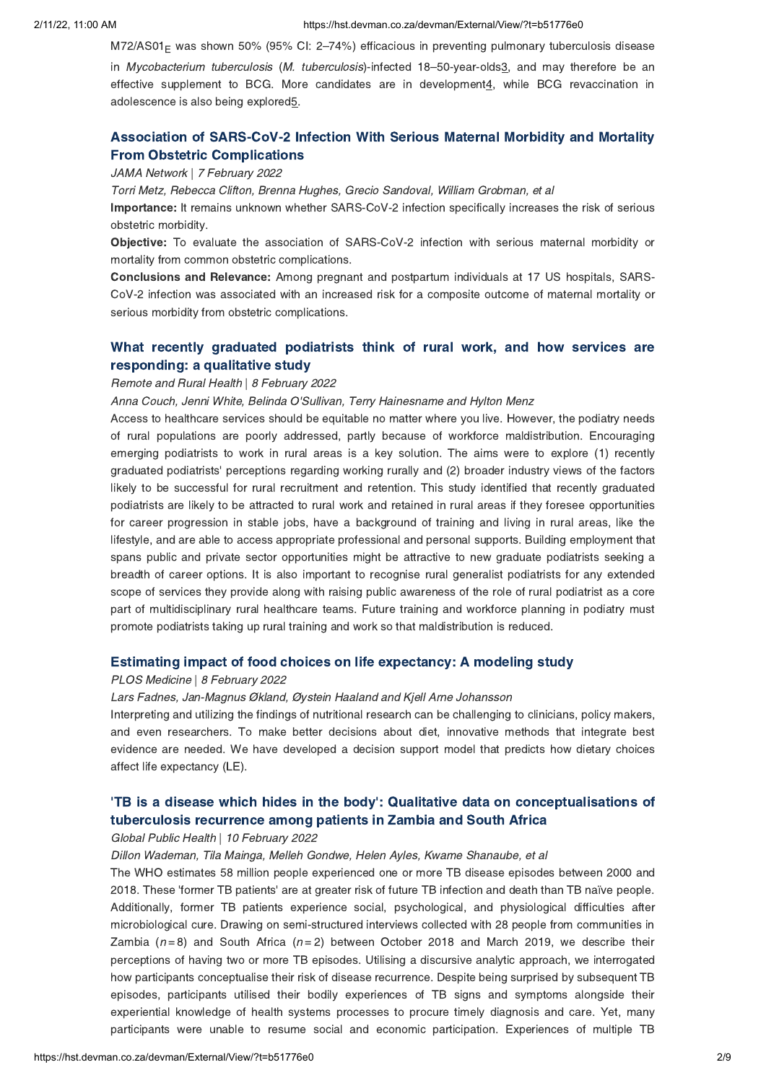$M72/AS01<sub>F</sub>$  was shown 50% (95% CI: 2–74%) efficacious in preventing pulmonary tuberculosis disease

in Mycobacterium tuberculosis (M. tuberculosis)-infected 18-50-year-olds3, and may therefore be an effective supplement to BCG. More candidates are in development4, while BCG revaccination in adolescence is also being explored5.

# Association of [SARS-CoV-2](https://hst.devman.co.za/devman/external/?t=44deeda0) Infection With Serious Maternal Morbidity and Mortality

## From Obstetric Complications JAMA Network | 7 February 2022

Torri Metz, Rebecca Clifton, Brenna Hughes, Grecio Sandoval, William Grobman, et al

Importance: It remains unknown whether SARS-CoV-2 infection specifically increases the risk of serious obstetric morbidity.

Objective: To evaluate the association of SARS-CoV-2 infection with serious maternal morbidity or mortality from common obstetric complications.

Conclusions and Relevance: Among pregnant and postpartum individuals at <sup>17</sup> US hospitals, SARS-CoV-2 infection was associated with an increased risk for a composite outcome of maternal mortality or serious morbidity from obstetric complications.

# What recently graduated [podiatrists](https://hst.devman.co.za/devman/external/?t=b2d01587) think of rural work, and how services are responding: a qualitative study

## Remote and Rural Health | 8 February 2022

Anna Couch, Jenni White, Belinda O'Sullivan, Terry Hainesname and Hylton Menz

Access to healthcare services should be equitable no matter where you live. However, the podiatry needs of rural populations are poorly addressed, partly because of workforce maldistribution. Encouraging emerging podiatrists to work in rural areas is a key solution. The aims were to explore (1) recently graduated podiatrists' perceptions regarding working rurally and (2) broader industry views of the factors likely to be successful for rural recruitment and retention. This study identified that recently graduated podiatrists are likely to be attracted to rural work and retained in rural areas if they foresee opportunities for career progression in stable jobs, have a background of training and living in rural areas, like the lifestyle, and are able to access appropriate professional and personal supports. Building employment that spans public and private sector opportunities might be attractive to new graduate podiatrists seeking a breadth of career options. It is also important to recognise rural generalist podiatrists for any extended scope of services they provide along with raising public awareness of the role of rural podiatrist as a core part of multidisciplinary rural healthcare teams. Future training and workforce planning in podiatry must promote podiatrists taking up rural training and work so that maldistribution is reduced.

## Estimating impact of food choices on life expectancy: A modeling study PLOS Medicine | 8 February 2022

Lars Fadnes, Jan-Magnus Økland, Øystein Haaland and Kjell Arne Johansson

Interpreting and utilizing the findings of nutritional research can be challenging to clinicians, policy makers, and even researchers. To make better decisions about diet, innovative methods that integrate best evidence are needed. We have developed a decision support model that predicts how dietary choices affect life expectancy (LE).

# 'TB is a disease which hides in the body': Qualitative data on [conceptualisations](https://hst.devman.co.za/devman/external/?t=6a806b0e) of tuberculosis recurrence among patients in Zambia and South Africa

tuberculosis recurrence among patients in Zambia and South Africa Global Public Health | 10 February 2022

Dillon Wademan, Tila Mainga, Melleh Gondwe, Helen Ayles, Kwame Shanaube, et al

The WHO estimates 58 million people experienced one or more TB disease episodes between 2000 and 2018. These 'former TB patients' are at greater risk of future TB infection and death than TB naïve people. Additionally, former TB patients experience social, psychological, and physiological difficulties after microbiological cure. Drawing on semi-structured interviews collected with 28 people from communities in Zambia ( $n=8$ ) and South Africa ( $n=2$ ) between October 2018 and March 2019, we describe their perceptions of having two or more TB episodes. Utilising a discursive analytic approach, we interrogated how participants conceptualise their risk of disease recurrence. Despite being surprised by subsequent TB episodes, participants utilised their bodily experiences of TB signs and symptoms alongside their experiential knowledge of health systems processes to procure timely diagnosis and care. Yet, many participants were unable to resume social and economic participation. Experiences of multiple TB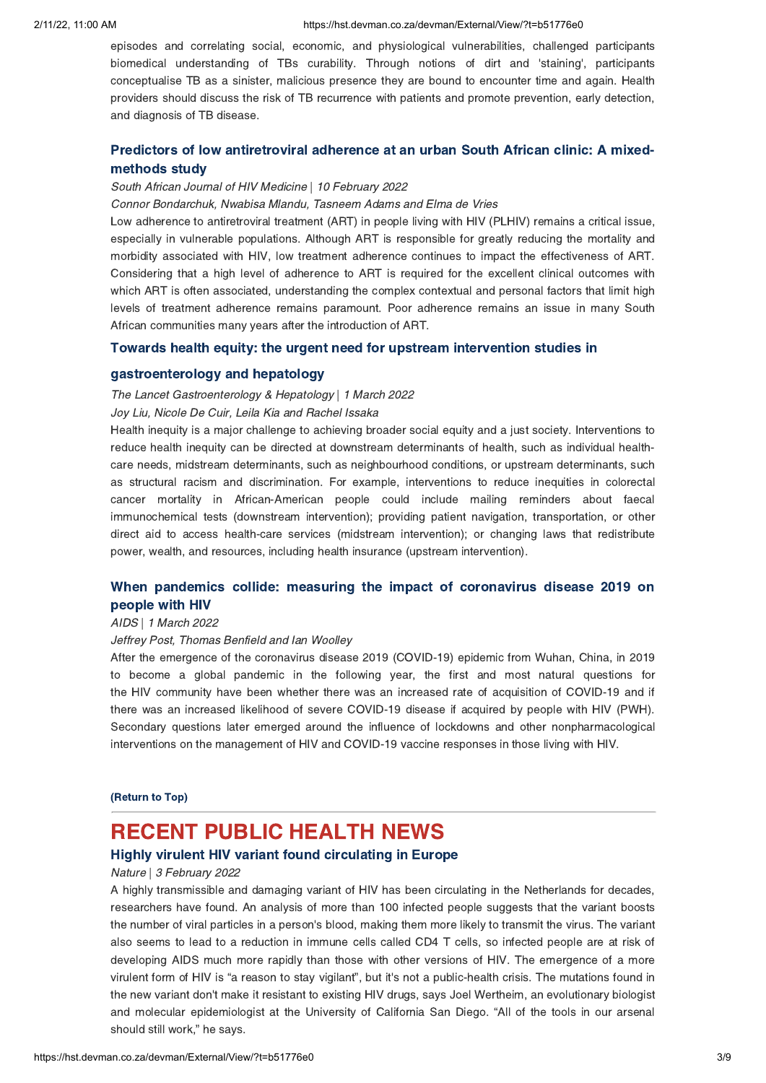episodes and correlating social, economic, and physiological vulnerabilities, challenged participants biomedical understanding of TBs curability. Through notions of dirt and 'staining', participants conceptualise TB as a sinister, malicious presence they are bound to encounter time and again. Health providers should discuss the risk of TB recurrence with patients and promote prevention, early detection, and diagnosis of TB disease.

# Predictors of low [antiretroviral](https://hst.devman.co.za/devman/external/?t=fbe5c14c) adherence at an urban South African clinic: A mixed-

## methods study South African Journal of HIV Medicine | 10 February 2022

Connor Bondarchuk, Nwabisa Mlandu, Tasneem Adams and Elma de Vries

Low adherence to antiretroviral treatment (ART) in people living with HIV (PLHIV) remains a critical issue, especially in vulnerable populations. Although ART is responsible for greatly reducing the mortality and morbidity associated with HIV, low treatment adherence continues to impact the effectiveness of ART. Considering that a high level of adherence to ART is required for the excellent clinical outcomes with which ART is often associated, understanding the complex contextual and personal factors that limit high levels of treatment adherence remains paramount. Poor adherence remains an issue in many South African communities many years after the introduction of ART.

# Towards health equity: the urgent need for upstream [intervention](https://hst.devman.co.za/devman/external/?t=c364cdab) studies in

gastroenterology and hepatology The Lancet Gastroenterology & Hepatology | 1 March 2022

Joy Liu, Nicole De Cuir, Leila Kia and Rachel Issaka

Health inequity is a major challenge to achieving broader social equity and a just society. Interventions to reduce health inequity can be directed at downstream determinants of health, such as individual healthcare needs, midstream determinants, such as neighbourhood conditions, or upstream determinants, such as structural racism and discrimination. For example, interventions to reduce inequities in colorectal cancer mortality in African-American people could include mailing reminders about faecal immunochemical tests (downstream intervention); providing patient navigation, transportation, or other direct aid to access health-care services (midstream intervention); or changing laws that redistribute power, wealth, and resources, including health insurance (upstream intervention).

# When pandemics collide: measuring the impact of [coronavirus](https://hst.devman.co.za/devman/external/?t=4a0af992) disease 2019 on people with HIV

## | 1 March 2022<br>| 1 March 2022

### Jeffrey Post, Thomas Benfield and Ian Woolley

After the emergence of the coronavirus disease 2019 (COVID-19) epidemic from Wuhan, China, in 2019 to become a global pandemic in the following year, the first and most natural questions for the HIV community have been whether there was an increased rate of acquisition of COVID-19 and if there was an increased likelihood of severe COVID-19 disease if acquired by people with HIV (PWH). Secondary questions later emerged around the influence of lockdowns and other nonpharmacological interventions on the management of HIV and COVID-19 vaccine responses in those living with HIV.

# (Return to Top)

# <span id="page-2-0"></span>**RECENT PUBLIC HEALTH NEWS**

### Highly virulent HIV variant found circulating in Europe

## Highly virulent HIV variant found circulating in Europe Nature | 3 February 2022

A highly transmissible and damaging variant of HIV has been circulating in the Netherlands for decades, researchers have found. An analysis of more than 100 infected people suggests that the variant boosts the number of viral particles in a person's blood, making them more likely to transmit the virus. The variant also seems to lead to a reduction in immune cells called CD4 T cells, so infected people are at risk of developing AIDS much more rapidly than those with other versions of HIV. The emergence of a more virulent form of HIV is "a reason to stay vigilant", but it's not a public-health crisis. The mutations found in the new variant don't make it resistant to existing HIV drugs, says Joel Wertheim, an evolutionary biologist and molecular epidemiologist at the University of California San Diego. "All of the tools in our arsenal should still work," he says.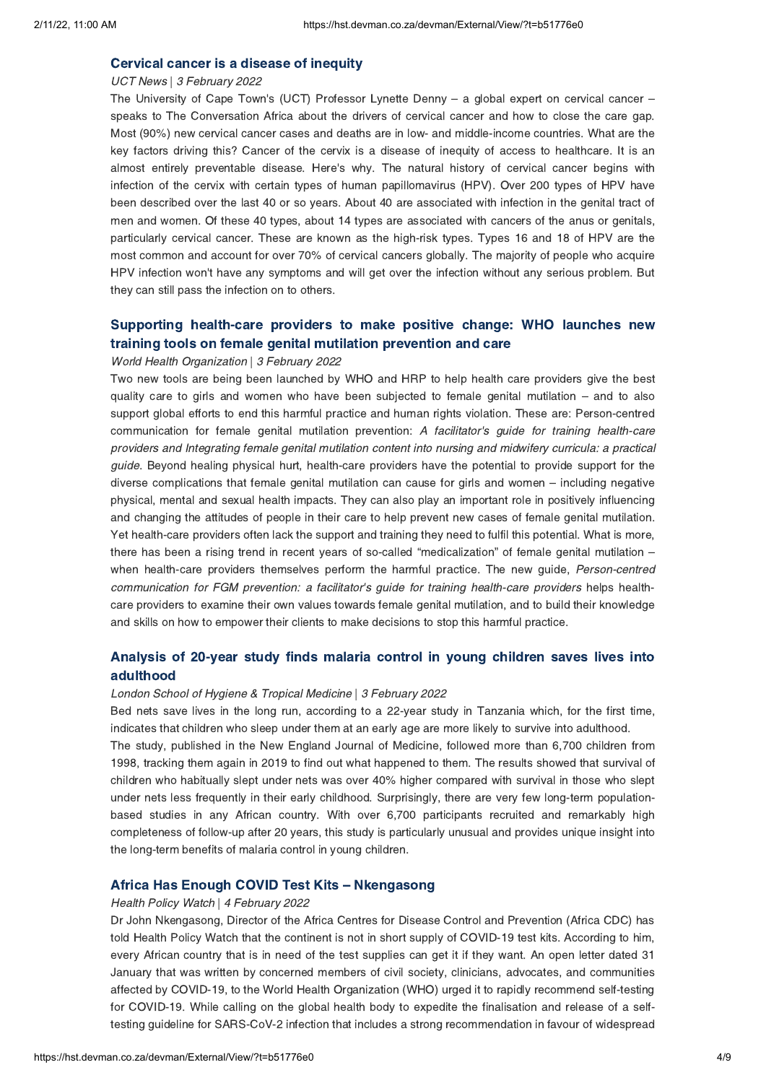## UCT News | 3 February 2022

The University of Cape Town's (UCT) Professor Lynette Denny – a global expert on cervical cancer – speaks to The Conversation Africa about the drivers of cervical cancer and how to close the care gap. Most (90%) new cervical cancer cases and deaths are in low- and middle-income countries. What are the key factors driving this? Cancer of the cervix is a disease of inequity of access to healthcare. It is an almost entirely preventable disease. Here's why. The natural history of cervical cancer begins with infection of the cervix with certain types of human papillomavirus (HPV). Over 200 types of HPV have been described over the last 40 or so years. About 40 are associated with infection in the genital tract of men and women. Of these 40 types, about 14 types are associated with cancers of the anus or genitals, particularly cervical cancer. These are known as the high-risk types. Types 16 and 18 of HPV are the most common and account for over 70% of cervical cancers globally. The majority of people who acquire HPV infection won't have any symptoms and will get over the infection without any serious problem. But they can still pass the infection on to others.

# Supporting [health-care](https://hst.devman.co.za/devman/external/?t=a2ef5c2f) providers to make positive change: WHO launches new training tools on female genital mutilation prevention and care

## World Health Organization | 3 February 2022

Two new tools are being been launched by WHO and HRP to help health care providers give the best quality care to girls and women who have been subjected to female genital mutilation – and to also support global efforts to end this harmful practice and human rights violation. These are: Person-centred communication for female genital mutilation prevention: A facilitator's quide for training health-care providers and Integrating female genital mutilation content into nursing and midwifery curricula: a practical guide. Beyond healing physical hurt, health-care providers have the potential to provide support for the diverse complications that female genital mutilation can cause for girls and women – including negative physical, mental and sexual health impacts. They can also play an important role in positively influencing and changing the attitudes of people in their care to help prevent new cases of female genital mutilation. Yet health-care providers often lack the support and training they need to fulfil this potential. What is more, there has been a rising trend in recent years of so-called "medicalization" of female genital mutilation – when health-care providers themselves perform the harmful practice. The new guide, Person-centred communication for FGM prevention: a facilitator's guide for training health-care providers helps healthcare providers to examine their own values towards female genital mutilation, and to build their knowledge and skills on how to empower their clients to make decisions to stop this harmful practice.

# [Analysis](https://hst.devman.co.za/devman/external/?t=10e08416) of 20-year study finds malaria control in young children saves lives into

## adulthood<br>London School of Hygiene & Tropical Medicine | 3 February 2022

Bed nets save lives in the long run, according to a 22-year study in Tanzania which, for the first time, indicates that children who sleep under them at an early age are more likely to survive into adulthood.

The study, published in the New England Journal of Medicine, followed more than 6,700 children from 1998, tracking them again in 2019 to find out what happened to them. The results showed that survival of children who habitually slept under nets was over 40% higher compared with survival in those who slept under nets less frequently in their early childhood. Surprisingly, there are very few long-term populationbased studies in any African country. With over 6,700 participants recruited and remarkably high completeness of follow-up after 20 years, this study is particularly unusual and provides unique insight into the long-term benefits of malaria control in young children.

### Africa Has Enough COVID Test Kits [–](https://hst.devman.co.za/devman/external/?t=61b1ce75) Nkengasong

### Health Policy Watch | 4 February 2022

Dr John Nkengasong, Director of the Africa Centres for Disease Control and Prevention (Africa CDC) has told Health Policy Watch that the continent is not in short supply of COVID-19 test kits. According to him, every African country that is in need of the test supplies can get it if they want. An open letter dated 31 January that was written by concerned members of civil society, clinicians, advocates, and communities affected by COVID-19, to the World Health Organization (WHO) urged it to rapidly recommend self-testing for COVID-19. While calling on the global health body to expedite the finalisation and release of a selftesting guideline for SARS-CoV-2 infection that includes a strong recommendation in favour of widespread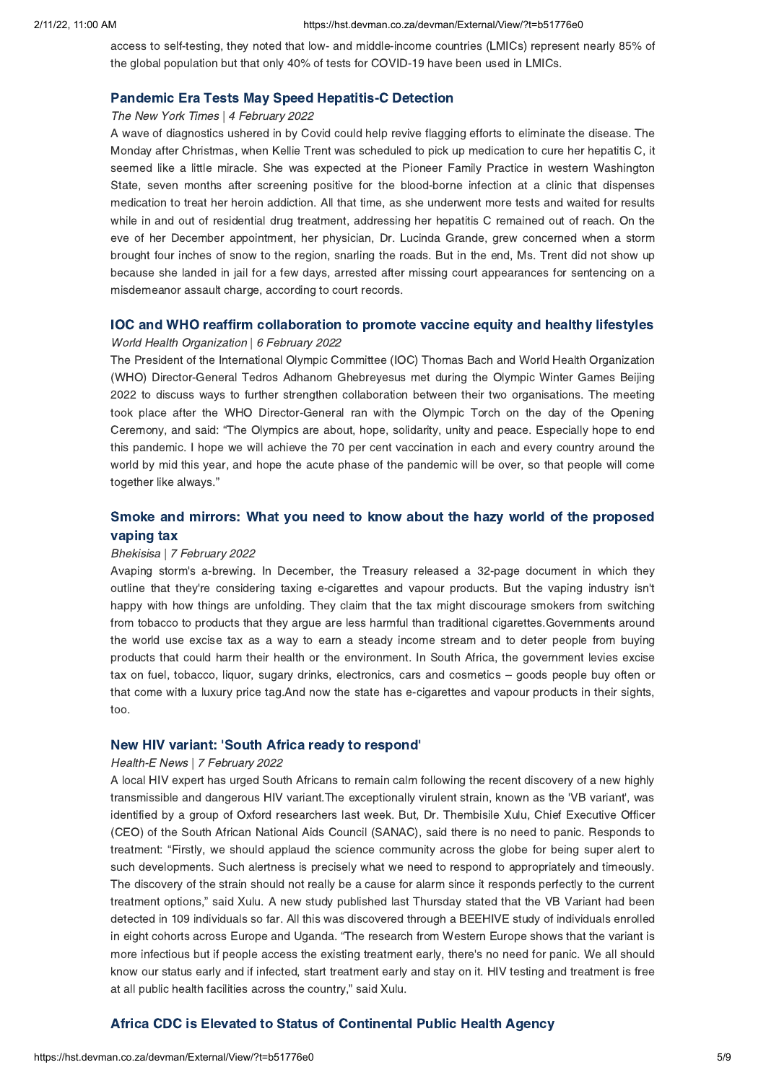access to self-testing, they noted that low- and middle-income countries (LMICs) represent nearly 85% of the global population but that only 40% of tests for COVID-19 have been used in LMICs.

# Pandemic Era Tests May Speed Hepatitis-C Detection The New York Times | 4 February 2022

A wave of diagnostics ushered in by Covid could help revive flagging efforts to eliminate the disease. The Monday after Christmas, when Kellie Trent was scheduled to pick up medication to cure her hepatitis C, it seemed like a little miracle. She was expected at the Pioneer Family Practice in western Washington State, seven months after screening positive for the blood-borne infection at a clinic that dispenses medication to treat her heroin addiction. All that time, as she underwent more tests and waited for results while in and out of residential drug treatment, addressing her hepatitis C remained out of reach. On the eve of her December appointment, her physician, Dr. Lucinda Grande, grew concerned when a storm brought four inches of snow to the region, snarling the roads. But in the end, Ms. Trent did not show up because she landed in jail for a few days, arrested after missing court appearances for sentencing on a misdemeanor assault charge, according to court records.

## World Health Organization | 6 February 2022

The President of the International Olympic Committee (IOC) Thomas Bach and World Health Organization (WHO) Director-General Tedros Adhanom Ghebreyesus met during the Olympic Winter Games Beijing 2022 to discuss ways to further strengthen collaboration between their two organisations. The meeting took place after the WHO Director-General ran with the Olympic Torch on the day of the Opening Ceremony, and said: "The Olympics are about, hope, solidarity, unity and peace. Especially hope to end this pandemic. I hope we will achieve the 70 per cent vaccination in each and every country around the world by mid this year, and hope the acute phase of the pandemic will be over, so that people will come together like always."

# vaping tax

## vaping tax Bhekisisa | 7 February 2022

Avaping storm's a-brewing. In December, the Treasury released a 32-page document in which they outline that they're considering taxing e-cigarettes and vapour products. But the vaping industry isn't happy with how things are unfolding. They claim that the tax might discourage smokers from switching from tobacco to products that they argue are less harmful than traditional cigarettes.Governments around the world use excise tax as a way to earn a steady income stream and to deter people from buying products that could harm their health or the environment. In South Africa, the government levies excise tax on fuel, tobacco, liquor, sugary drinks, electronics, cars and cosmetics – goods people buy often or that come with a luxury price tag.And now the state has e-cigarettes and vapour products in their sights, too.

### New HIV variant: ['](https://hst.devman.co.za/devman/external/?t=d8398726)South Africa ready to respond'

### Health-E News | 7 February 2022

A local HIV expert has urged South Africans to remain calm following the recent discovery of a new highly transmissible and dangerous HIV variant.The exceptionally virulent strain, known as the 'VB variant', was identified by a group of Oxford researchers last week. But, Dr. Thembisile Xulu, Chief Executive Officer (CEO) of the South African National Aids Council (SANAC), said there is no need to panic. Responds to treatment: "Firstly, we should applaud the science community across the globe for being super alert to such developments. Such alertness is precisely what we need to respond to appropriately and timeously. The discovery of the strain should not really be a cause for alarm since it responds perfectly to the current treatment options," said Xulu. A new study published last Thursday stated that the VB Variant had been detected in 109 individuals so far. All this was discovered through a BEEHIVE study of individuals enrolled in eight cohorts across Europe and Uganda. "The research from Western Europe shows that the variant is more infectious but if people access the existing treatment early, there's no need for panic. We all should know our status early and if infected, start treatment early and stay on it. HIV testing and treatment is free at all public health facilities across the country," said Xulu.

# Africa CDC is Elevated to Status of Continental Public Health Agency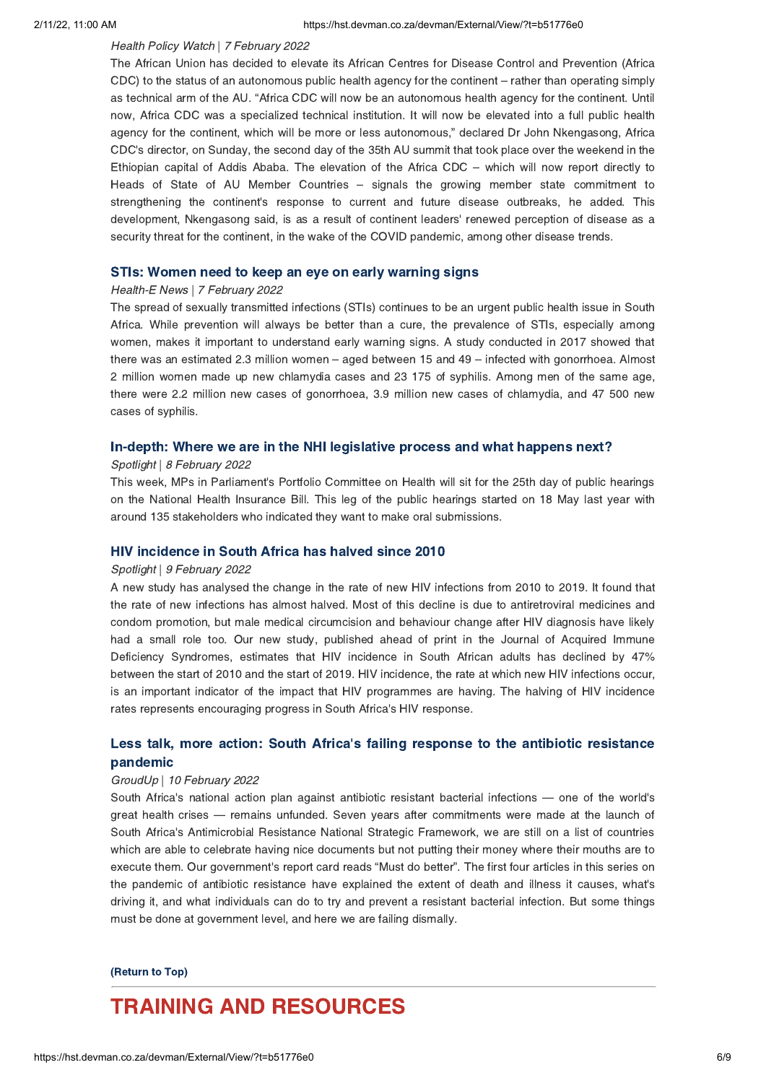### Health Policy Watch | 7 February 2022

The African Union has decided to elevate its African Centres for Disease Control and Prevention (Africa CDC) to the status of an autonomous public health agency for the continent – rather than operating simply as technical arm of the AU. "Africa CDC will now be an autonomous health agency for the continent. Until now, Africa CDC was a specialized technical institution. It will now be elevated into a full public health agency for the continent, which will be more or less autonomous," declared Dr John Nkengasong, Africa CDC's director, on Sunday, the second day of the 35th AU summit that took place over the weekend in the Ethiopian capital of Addis Ababa. The elevation of the Africa CDC – which will now report directly to Heads of State of AU Member Countries – signals the growing member state commitment to strengthening the continent's response to current and future disease outbreaks, he added. This development, Nkengasong said, is as a result of continent leaders' renewed perception of disease as a security threat for the continent, in the wake of the COVID pandemic, among other disease trends.

## STIs: Women need to keep an eye on early warning signs Health-E News | 7 February 2022

The spread of sexually transmitted infections (STIs) continues to be an urgent public health issue in South Africa. While prevention will always be better than a cure, the prevalence of STIs, especially among women, makes it important to understand early warning signs. A study conducted in 2017 showed that there was an estimated 2.3 million women – aged between 15 and 49 – infected with gonorrhoea. Almost 2 million women made up new chlamydia cases and 23 175 of syphilis. Among men of the same age, there were 2.2 million new cases of gonorrhoea, 3.9 million new cases of chlamydia, and 47 500 new cases of syphilis.

## In-depth: Where we are in the NHI legislative process and what happens next? Spotlight | 8 February 2022

This week, MPs in Parliament's Portfolio Committee on Health will sit for the 25th day of public hearings on the National Health Insurance Bill. This leg of the public hearings started on 18 May last year with around 135 stakeholders who indicated they want to make oral submissions.

## Spotlight | 9 February 2022

A new study has analysed the change in the rate of new HIV infections from 2010 to 2019. It found that the rate of new infections has almost halved. Most of this decline is due to antiretroviral medicines and condom promotion, but male medical circumcision and behaviour change after HIV diagnosis have likely had a small role too. Our new study, published ahead of print in the Journal of Acquired Immune Deficiency Syndromes, estimates that HIV incidence in South African adults has declined by 47% between the start of 2010 and the start of 2019. HIV incidence, the rate at which new HIV infections occur, is an important indicator of the impact that HIV programmes are having. The halving of HIV incidence rates represents encouraging progress in South Africa's HIV response.

# Less talk, more action: South Africa's failing response to the antibiotic [resistance](https://hst.devman.co.za/devman/external/?t=25b53d91)

## pandemic<br>GroudUp | 10 February 2022

South Africa's national action plan against antibiotic resistant bacterial infections — one of the world's great health crises — remains unfunded. Seven years after commitments were made at the launch of South Africa's Antimicrobial Resistance National Strategic Framework, we are still on a list of countries which are able to celebrate having nice documents but not putting their money where their mouths are to execute them. Our government's report card reads "Must do better". The first four articles in this series on the pandemic of antibiotic resistance have explained the extent of death and illness it causes, what's driving it, and what individuals can do to try and prevent a resistant bacterial infection. But some things must be done at government level, and here we are failing dismally.

# $\overline{\phantom{a}}$

# <span id="page-5-0"></span>**TRAINING AND RESOURCES**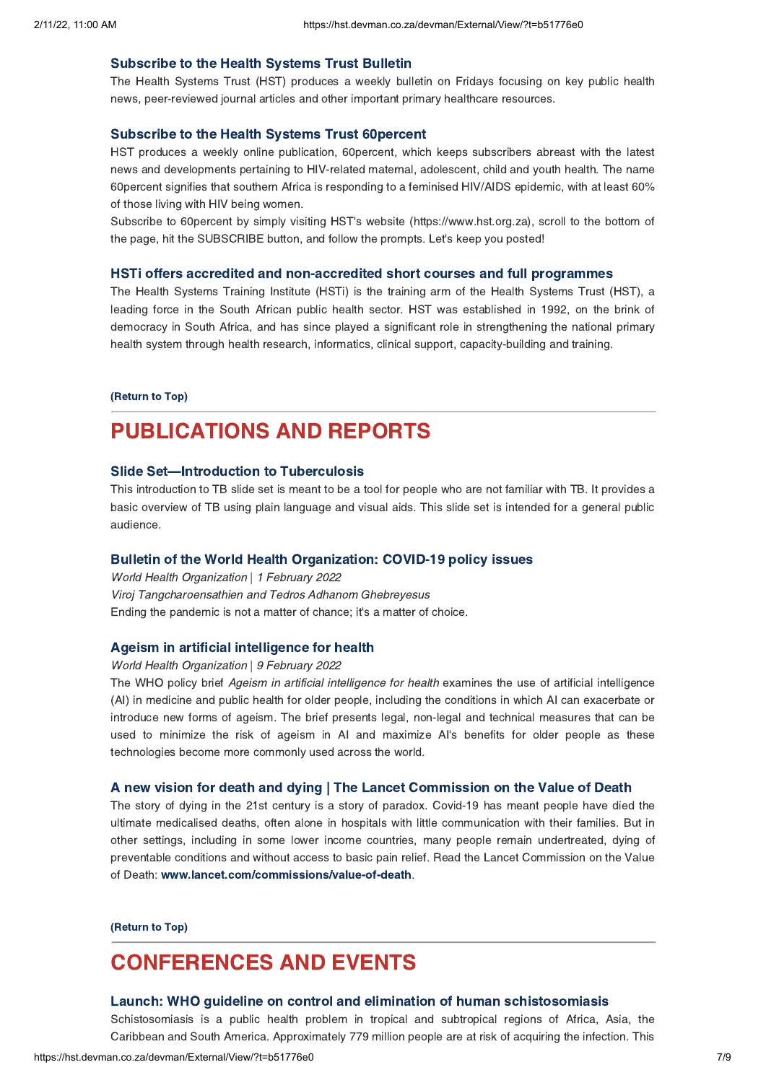Subscribe to the Health Systems Trust Bulletin The Health Systems Trust (HST) produces a weekly bulletin on Fridays focusing on key public health news, peer-reviewed journal articles and other important primary healthcare resources.

Subscribe to the Health Systems Trust 60percent HST produces a weekly online publication, 60percent, which keeps subscribers abreast with the latest news and developments pertaining to HIV-related maternal, adolescent, child and youth health. The name 60percent signifies that southern Africa is responding to a feminised HIV/AIDS epidemic, with at least 60% of those living with HIV being women.

Subscribe to 60percent by simply visiting HST's website (https://www.hst.org.za), scroll to the bottom of the page, hit the SUBSCRIBE button, and follow the prompts. Let's keep you posted!

The Health Systems Training Institute (HSTi) is the training arm of the Health Systems Trust (HST), a leading force in the South African public health sector. HST was established in 1992, on the brink of democracy in South Africa, and has since played a significant role in strengthening the national primary health system through health research, informatics, clinical support, capacity-building and training.

### (Return to Top)

# **PUBLICATIONS AND REPORTS**

### **Slide Set-Introduction to Tuberculosis**

Slide Set[—](https://hst.devman.co.za/devman/external/?t=6198644f)Introduction to Tuberculosis<br>This introduction to TB slide set is meant to be a tool for people who are not familiar with TB. It provides a basic overview of TB using plain language and visual aids. This slide set is intended for a general public audience.

Bulletin of the World Health Organization: COVID-19 policy issues World Health Organization | 1 February 2022 Viroj Tangcharoensathien and Tedros Adhanom Ghebreyesus Ending the pandemic is not a matter of chance; it's a matter of choice.

Ageism in artificial intelligence for health World Health Organization | 9 February 2022

The WHO policy brief Ageism in artificial intelligence for health examines the use of artificial intelligence (AI) in medicine and public health for older people, including the conditions in which AI can exacerbate or introduce new forms of ageism. The brief presents legal, non-legal and technical measures that can be used to minimize the risk of ageism in AI and maximize AI's benefits for older people as these technologies become more commonly used across the world.

The story of dying in the 21st century is a story of paradox. Covid-19 has meant people have died the ultimate medicalised deaths, often alone in hospitals with little communication with their families. But in other settings, including in some lower income countries, many people remain undertreated, dying of preventable conditions and without access to basic pain relief. Read the Lancet Commission on the Value of Death: www.lancet.com/commissions/value-of-death.

(Return to Top)

# <span id="page-6-0"></span>**CONFERENCES AND EVENTS**

### Launch: WHO quideline on control and elimination of human schistosomiasis

Schistosomiasis is a public health problem in tropical and subtropical regions of Africa, Asia, the Caribbean and South America. Approximately 779 million people are at risk of acquiring the infection. This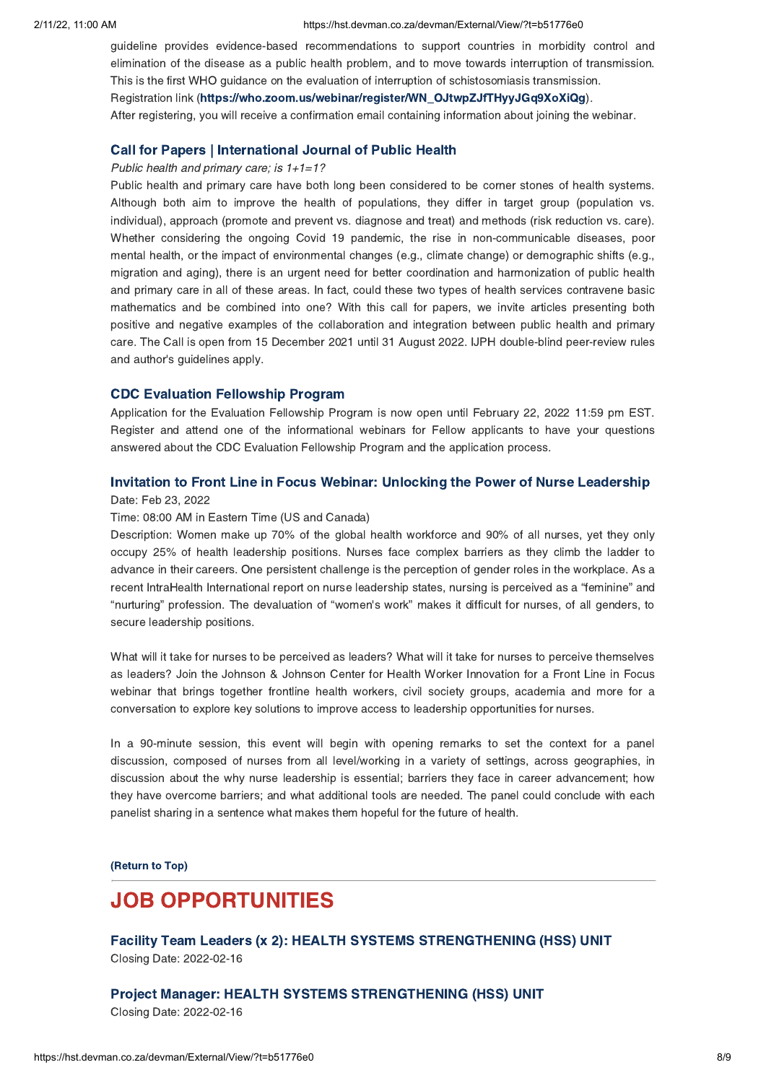guideline provides evidence-based recommendations to support countries in morbidity control and elimination of the disease as a public health problem, and to move towards interruption of transmission. This is the first WHO guidance on the evaluation of interruption of schistosomiasis transmission.

Registration link (https://who.zoom.us/webinar/register/WN\_OJtwpZJfTHyyJGq9XoXiQg[\)](https://hst.devman.co.za/devman/external/?t=49360b11).

After registering, you will receive a confirmation email containing information about joining the webinar.

# Public health and primary care; is 1+1=1?

Public health and primary care have both long been considered to be corner stones of health systems. Although both aim to improve the health of populations, they differ in target group (population vs. individual), approach (promote and prevent vs. diagnose and treat) and methods (risk reduction vs. care). Whether considering the ongoing Covid 19 pandemic, the rise in non-communicable diseases, poor mental health, or the impact of environmental changes (e.g., climate change) or demographic shifts (e.g., migration and aging), there is an urgent need for better coordination and harmonization of public health and primary care in all of these areas. In fact, could these two types of health services contravene basic mathematics and be combined into one? With this call for papers, we invite articles presenting both positive and negative examples of the collaboration and integration between public health and primary care. The Call is open from 15 December 2021 until 31 August 2022. IJPH double-blind peer-review rules and author's guidelines apply.

CDC Evaluation Fellowship Program Application for the Evaluation Fellowship Program is now open until February 22, 2022 11:59 pm EST. Register and attend one of the informational webinars for Fellow applicants to have your questions answered about the CDC Evaluation Fellowship Program and the application process.

# Date: Feb 23, 2022

### Time: 08:00 AM in Eastern Time (US and Canada)

Description: Women make up 70% of the global health workforce and 90% of all nurses, yet they only occupy 25% of health leadership positions. Nurses face complex barriers as they climb the ladder to advance in their careers. One persistent challenge is the perception of gender roles in the workplace. As a recent IntraHealth International report on nurse leadership states, nursing is perceived as a "feminine" and "nurturing" profession. The devaluation of "women's work" makes it difficult for nurses, of all genders, to secure leadership positions.

What will it take for nurses to be perceived as leaders? What will it take for nurses to perceive themselves as leaders? Join the Johnson & Johnson Center for Health Worker Innovation for a Front Line in Focus webinar that brings together frontline health workers, civil society groups, academia and more for a conversation to explore key solutions to improve access to leadership opportunities for nurses.

In a 90-minute session, this event will begin with opening remarks to set the context for a panel discussion, composed of nurses from all level/working in a variety of settings, across geographies, in discussion about the why nurse leadership is essential; barriers they face in career advancement; how they have overcome barriers; and what additional tools are needed. The panel could conclude with each panelist sharing in a sentence what makes them hopeful for the future of health.

(Return to Top)

# <span id="page-7-0"></span>**JOB OPPORTUNITIES**

Facility Team Leaders (x 2): HEALTH SYSTEMS STRENGTHENING (HSS) UNIT  $\frac{1}{2}$ Closing Date: 2022-02-16

# $\sum$ Closing Date: 2022-02-16